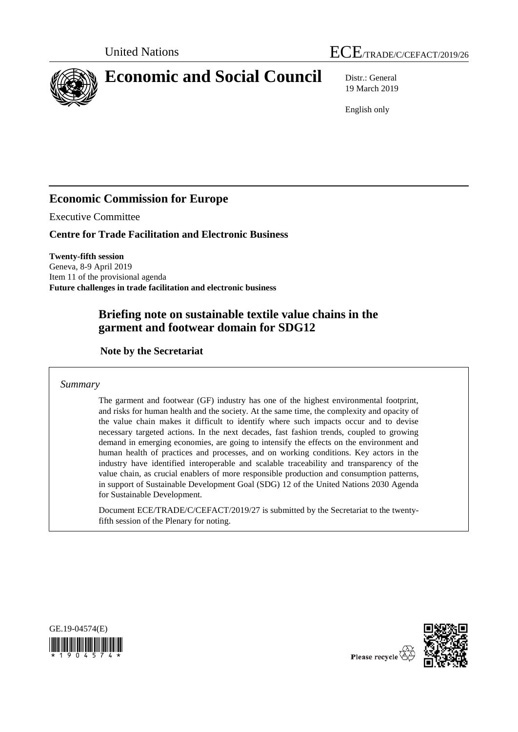



19 March 2019

English only

# **Economic Commission for Europe**

Executive Committee

**Centre for Trade Facilitation and Electronic Business**

**Twenty-fifth session** Geneva, 8-9 April 2019 Item 11 of the provisional agenda **Future challenges in trade facilitation and electronic business**

# **Briefing note on sustainable textile value chains in the garment and footwear domain for SDG12**

**Note by the Secretariat**

*Summary*

The garment and footwear (GF) industry has one of the highest environmental footprint, and risks for human health and the society. At the same time, the complexity and opacity of the value chain makes it difficult to identify where such impacts occur and to devise necessary targeted actions. In the next decades, fast fashion trends, coupled to growing demand in emerging economies, are going to intensify the effects on the environment and human health of practices and processes, and on working conditions. Key actors in the industry have identified interoperable and scalable traceability and transparency of the value chain, as crucial enablers of more responsible production and consumption patterns, in support of Sustainable Development Goal (SDG) 12 of the United Nations 2030 Agenda for Sustainable Development.

Document ECE/TRADE/C/CEFACT/2019/27 is submitted by the Secretariat to the twentyfifth session of the Plenary for noting.



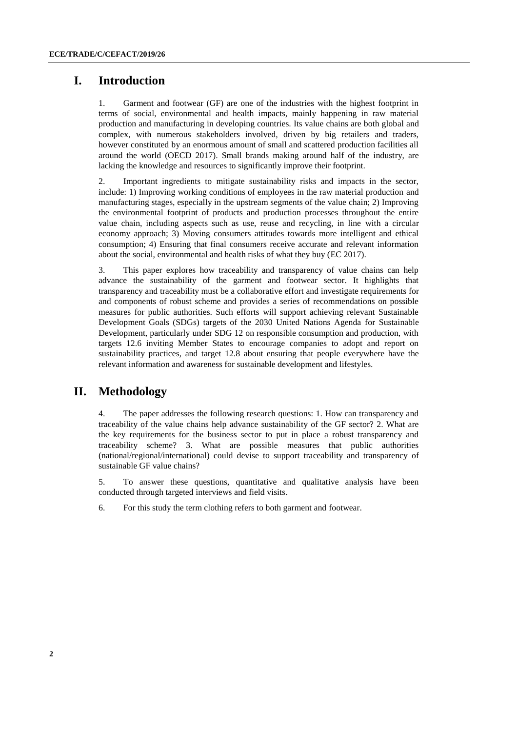## **I. Introduction**

1. Garment and footwear (GF) are one of the industries with the highest footprint in terms of social, environmental and health impacts, mainly happening in raw material production and manufacturing in developing countries. Its value chains are both global and complex, with numerous stakeholders involved, driven by big retailers and traders, however constituted by an enormous amount of small and scattered production facilities all around the world (OECD 2017). Small brands making around half of the industry, are lacking the knowledge and resources to significantly improve their footprint.

2. Important ingredients to mitigate sustainability risks and impacts in the sector, include: 1) Improving working conditions of employees in the raw material production and manufacturing stages, especially in the upstream segments of the value chain; 2) Improving the environmental footprint of products and production processes throughout the entire value chain, including aspects such as use, reuse and recycling, in line with a circular economy approach; 3) Moving consumers attitudes towards more intelligent and ethical consumption; 4) Ensuring that final consumers receive accurate and relevant information about the social, environmental and health risks of what they buy (EC 2017).

3. This paper explores how traceability and transparency of value chains can help advance the sustainability of the garment and footwear sector. It highlights that transparency and traceability must be a collaborative effort and investigate requirements for and components of robust scheme and provides a series of recommendations on possible measures for public authorities. Such efforts will support achieving relevant Sustainable Development Goals (SDGs) targets of the 2030 United Nations Agenda for Sustainable Development, particularly under SDG 12 on responsible consumption and production, with targets 12.6 inviting Member States to encourage companies to adopt and report on sustainability practices, and target 12.8 about ensuring that people everywhere have the relevant information and awareness for sustainable development and lifestyles.

## **II. Methodology**

4. The paper addresses the following research questions: 1. How can transparency and traceability of the value chains help advance sustainability of the GF sector? 2. What are the key requirements for the business sector to put in place a robust transparency and traceability scheme? 3. What are possible measures that public authorities (national/regional/international) could devise to support traceability and transparency of sustainable GF value chains?

5. To answer these questions, quantitative and qualitative analysis have been conducted through targeted interviews and field visits.

6. For this study the term clothing refers to both garment and footwear.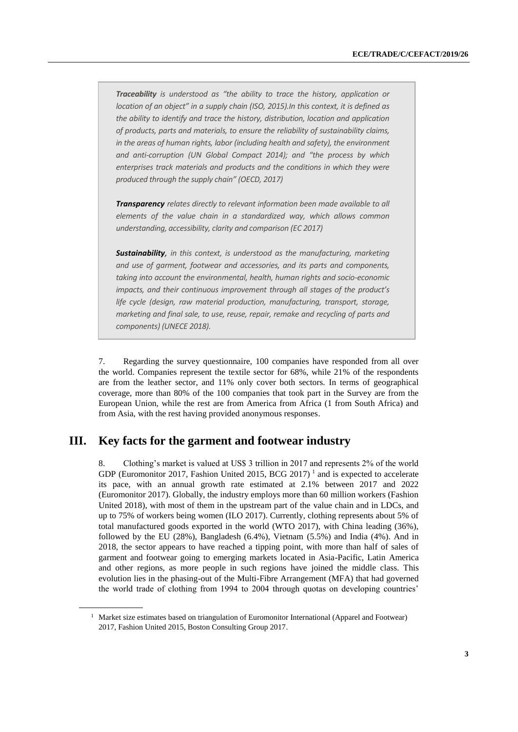*Traceability is understood as "the ability to trace the history, application or location of an object" in a supply chain (ISO, 2015).In this context, it is defined as the ability to identify and trace the history, distribution, location and application of products, parts and materials, to ensure the reliability of sustainability claims, in the areas of human rights, labor (including health and safety), the environment and anti-corruption (UN Global Compact 2014); and "the process by which enterprises track materials and products and the conditions in which they were produced through the supply chain" (OECD, 2017)*

*Transparency relates directly to relevant information been made available to all elements of the value chain in a standardized way, which allows common understanding, accessibility, clarity and comparison (EC 2017)*

*Sustainability, in this context, is understood as the manufacturing, marketing and use of garment, footwear and accessories, and its parts and components, taking into account the environmental, health, human rights and socio-economic impacts, and their continuous improvement through all stages of the product's life cycle (design, raw material production, manufacturing, transport, storage, marketing and final sale, to use, reuse, repair, remake and recycling of parts and components) (UNECE 2018).*

7. Regarding the survey questionnaire, 100 companies have responded from all over the world. Companies represent the textile sector for 68%, while 21% of the respondents are from the leather sector, and 11% only cover both sectors. In terms of geographical coverage, more than 80% of the 100 companies that took part in the Survey are from the European Union, while the rest are from America from Africa (1 from South Africa) and from Asia, with the rest having provided anonymous responses.

## **III. Key facts for the garment and footwear industry**

8. Clothing's market is valued at US\$ 3 trillion in 2017 and represents 2% of the world GDP (Euromonitor 2017, Fashion United 2015, BCG 2017)<sup>1</sup> and is expected to accelerate its pace, with an annual growth rate estimated at 2.1% between 2017 and 2022 (Euromonitor 2017). Globally, the industry employs more than 60 million workers (Fashion United 2018), with most of them in the upstream part of the value chain and in LDCs, and up to 75% of workers being women (ILO 2017). Currently, clothing represents about 5% of total manufactured goods exported in the world (WTO 2017), with China leading (36%), followed by the EU (28%), Bangladesh (6.4%), Vietnam (5.5%) and India (4%). And in 2018, the sector appears to have reached a tipping point, with more than half of sales of garment and footwear going to emerging markets located in Asia-Pacific, Latin America and other regions, as more people in such regions have joined the middle class. This evolution lies in the phasing-out of the Multi-Fibre Arrangement (MFA) that had governed the world trade of clothing from 1994 to 2004 through quotas on developing countries'

<sup>&</sup>lt;sup>1</sup> Market size estimates based on triangulation of Euromonitor International (Apparel and Footwear) 2017, Fashion United 2015, Boston Consulting Group 2017.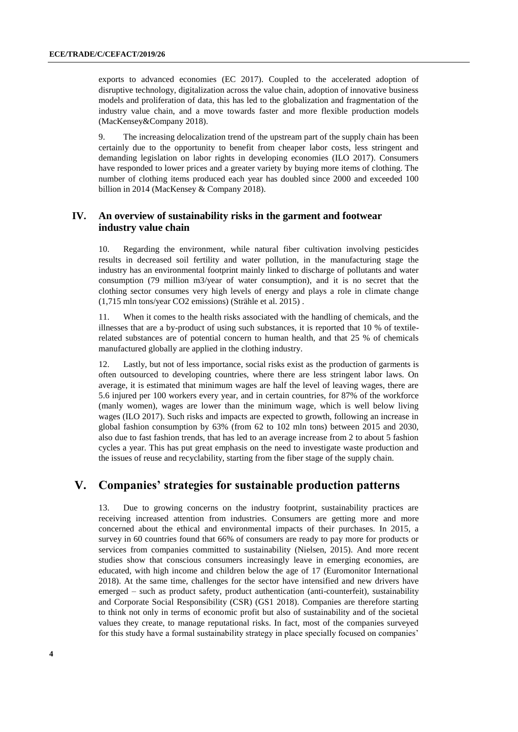exports to advanced economies (EC 2017). Coupled to the accelerated adoption of disruptive technology, digitalization across the value chain, adoption of innovative business models and proliferation of data, this has led to the globalization and fragmentation of the industry value chain, and a move towards faster and more flexible production models (MacKensey&Company 2018).

9. The increasing delocalization trend of the upstream part of the supply chain has been certainly due to the opportunity to benefit from cheaper labor costs, less stringent and demanding legislation on labor rights in developing economies (ILO 2017). Consumers have responded to lower prices and a greater variety by buying more items of clothing. The number of clothing items produced each year has doubled since 2000 and exceeded 100 billion in 2014 (MacKensey & Company 2018).

#### **IV. An overview of sustainability risks in the garment and footwear industry value chain**

10. Regarding the environment, while natural fiber cultivation involving pesticides results in decreased soil fertility and water pollution, in the manufacturing stage the industry has an environmental footprint mainly linked to discharge of pollutants and water consumption (79 million m3/year of water consumption), and it is no secret that the clothing sector consumes very high levels of energy and plays a role in climate change (1,715 mln tons/year CO2 emissions) (Strähle et al. 2015) .

11. When it comes to the health risks associated with the handling of chemicals, and the illnesses that are a by-product of using such substances, it is reported that 10 % of textilerelated substances are of potential concern to human health, and that 25 % of chemicals manufactured globally are applied in the clothing industry.

12. Lastly, but not of less importance, social risks exist as the production of garments is often outsourced to developing countries, where there are less stringent labor laws. On average, it is estimated that minimum wages are half the level of leaving wages, there are 5.6 injured per 100 workers every year, and in certain countries, for 87% of the workforce (manly women), wages are lower than the minimum wage, which is well below living wages (ILO 2017). Such risks and impacts are expected to growth, following an increase in global fashion consumption by 63% (from 62 to 102 mln tons) between 2015 and 2030, also due to fast fashion trends, that has led to an average increase from 2 to about 5 fashion cycles a year. This has put great emphasis on the need to investigate waste production and the issues of reuse and recyclability, starting from the fiber stage of the supply chain.

## **V. Companies' strategies for sustainable production patterns**

13. Due to growing concerns on the industry footprint, sustainability practices are receiving increased attention from industries. Consumers are getting more and more concerned about the ethical and environmental impacts of their purchases. In 2015, a survey in 60 countries found that 66% of consumers are ready to pay more for products or services from companies committed to sustainability (Nielsen, 2015). And more recent studies show that conscious consumers increasingly leave in emerging economies, are educated, with high income and children below the age of 17 (Euromonitor International 2018). At the same time, challenges for the sector have intensified and new drivers have emerged – such as product safety, product authentication (anti-counterfeit), sustainability and Corporate Social Responsibility (CSR) (GS1 2018). Companies are therefore starting to think not only in terms of economic profit but also of sustainability and of the societal values they create, to manage reputational risks. In fact, most of the companies surveyed for this study have a formal sustainability strategy in place specially focused on companies'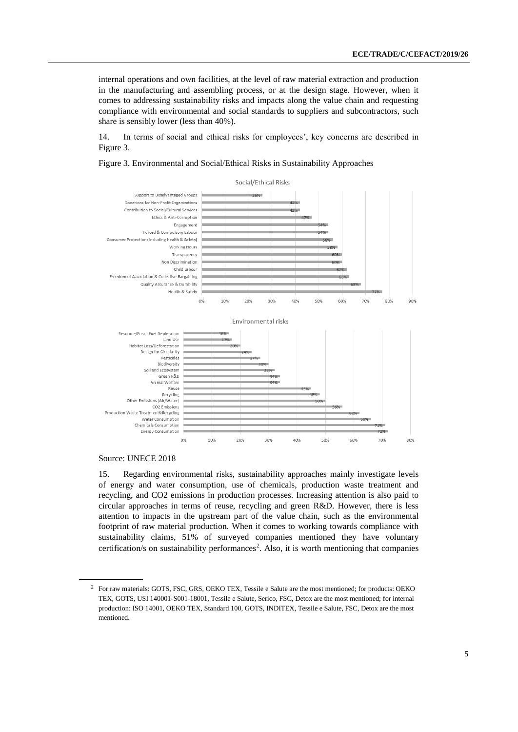internal operations and own facilities, at the level of raw material extraction and production in the manufacturing and assembling process, or at the design stage. However, when it comes to addressing sustainability risks and impacts along the value chain and requesting compliance with environmental and social standards to suppliers and subcontractors, such share is sensibly lower (less than 40%).

14. In terms of social and ethical risks for employees', key concerns are described in Figure 3.

Figure 3. Environmental and Social/Ethical Risks in Sustainability Approaches



#### Source: UNECE 2018

15. Regarding environmental risks, sustainability approaches mainly investigate levels of energy and water consumption, use of chemicals, production waste treatment and recycling, and CO2 emissions in production processes. Increasing attention is also paid to circular approaches in terms of reuse, recycling and green R&D. However, there is less attention to impacts in the upstream part of the value chain, such as the environmental footprint of raw material production. When it comes to working towards compliance with sustainability claims, 51% of surveyed companies mentioned they have voluntary certification/s on sustainability performances<sup>2</sup>. Also, it is worth mentioning that companies

<sup>2</sup> For raw materials: GOTS, FSC, GRS, OEKO TEX, Tessile e Salute are the most mentioned; for products: OEKO TEX, GOTS, USI 140001-S001-18001, Tessile e Salute, Serico, FSC, Detox are the most mentioned; for internal production: ISO 14001, OEKO TEX, Standard 100, GOTS, INDITEX, Tessile e Salute, FSC, Detox are the most mentioned.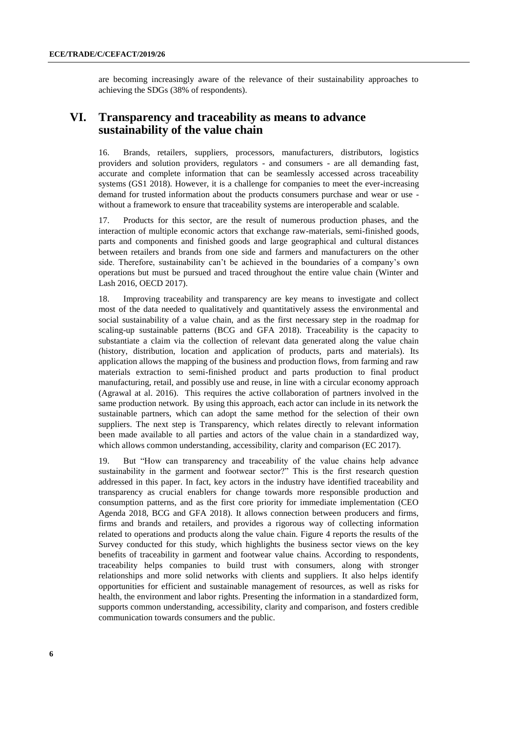are becoming increasingly aware of the relevance of their sustainability approaches to achieving the SDGs (38% of respondents).

## **VI. Transparency and traceability as means to advance sustainability of the value chain**

16. Brands, retailers, suppliers, processors, manufacturers, distributors, logistics providers and solution providers, regulators - and consumers - are all demanding fast, accurate and complete information that can be seamlessly accessed across traceability systems (GS1 2018). However, it is a challenge for companies to meet the ever-increasing demand for trusted information about the products consumers purchase and wear or use without a framework to ensure that traceability systems are interoperable and scalable.

17. Products for this sector, are the result of numerous production phases, and the interaction of multiple economic actors that exchange raw-materials, semi-finished goods, parts and components and finished goods and large geographical and cultural distances between retailers and brands from one side and farmers and manufacturers on the other side. Therefore, sustainability can't be achieved in the boundaries of a company's own operations but must be pursued and traced throughout the entire value chain (Winter and Lash 2016, OECD 2017).

18. Improving traceability and transparency are key means to investigate and collect most of the data needed to qualitatively and quantitatively assess the environmental and social sustainability of a value chain, and as the first necessary step in the roadmap for scaling-up sustainable patterns (BCG and GFA 2018). Traceability is the capacity to substantiate a claim via the collection of relevant data generated along the value chain (history, distribution, location and application of products, parts and materials). Its application allows the mapping of the business and production flows, from farming and raw materials extraction to semi-finished product and parts production to final product manufacturing, retail, and possibly use and reuse, in line with a circular economy approach (Agrawal at al. 2016). This requires the active collaboration of partners involved in the same production network. By using this approach, each actor can include in its network the sustainable partners, which can adopt the same method for the selection of their own suppliers. The next step is Transparency, which relates directly to relevant information been made available to all parties and actors of the value chain in a standardized way, which allows common understanding, accessibility, clarity and comparison (EC 2017).

19. But "How can transparency and traceability of the value chains help advance sustainability in the garment and footwear sector?" This is the first research question addressed in this paper. In fact, key actors in the industry have identified traceability and transparency as crucial enablers for change towards more responsible production and consumption patterns, and as the first core priority for immediate implementation (CEO Agenda 2018, BCG and GFA 2018). It allows connection between producers and firms, firms and brands and retailers, and provides a rigorous way of collecting information related to operations and products along the value chain. Figure 4 reports the results of the Survey conducted for this study, which highlights the business sector views on the key benefits of traceability in garment and footwear value chains. According to respondents, traceability helps companies to build trust with consumers, along with stronger relationships and more solid networks with clients and suppliers. It also helps identify opportunities for efficient and sustainable management of resources, as well as risks for health, the environment and labor rights. Presenting the information in a standardized form, supports common understanding, accessibility, clarity and comparison, and fosters credible communication towards consumers and the public.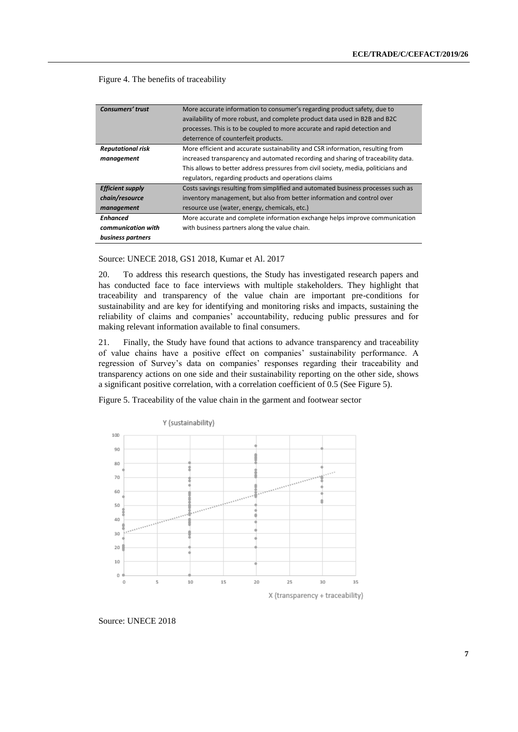Figure 4. The benefits of traceability

| <b>Consumers' trust</b>  | More accurate information to consumer's regarding product safety, due to           |
|--------------------------|------------------------------------------------------------------------------------|
|                          | availability of more robust, and complete product data used in B2B and B2C         |
|                          | processes. This is to be coupled to more accurate and rapid detection and          |
|                          | deterrence of counterfeit products.                                                |
| <b>Reputational risk</b> | More efficient and accurate sustainability and CSR information, resulting from     |
| management               | increased transparency and automated recording and sharing of traceability data.   |
|                          | This allows to better address pressures from civil society, media, politicians and |
|                          | regulators, regarding products and operations claims                               |
| <b>Efficient supply</b>  | Costs savings resulting from simplified and automated business processes such as   |
| chain/resource           | inventory management, but also from better information and control over            |
| management               | resource use (water, energy, chemicals, etc.)                                      |
| Enhanced                 | More accurate and complete information exchange helps improve communication        |
| communication with       | with business partners along the value chain.                                      |
| business partners        |                                                                                    |

Source: UNECE 2018, GS1 2018, Kumar et Al. 2017

20. To address this research questions, the Study has investigated research papers and has conducted face to face interviews with multiple stakeholders. They highlight that traceability and transparency of the value chain are important pre-conditions for sustainability and are key for identifying and monitoring risks and impacts, sustaining the reliability of claims and companies' accountability, reducing public pressures and for making relevant information available to final consumers.

21. Finally, the Study have found that actions to advance transparency and traceability of value chains have a positive effect on companies' sustainability performance. A regression of Survey's data on companies' responses regarding their traceability and transparency actions on one side and their sustainability reporting on the other side, shows a significant positive correlation, with a correlation coefficient of 0.5 (See Figure 5).





Source: UNECE 2018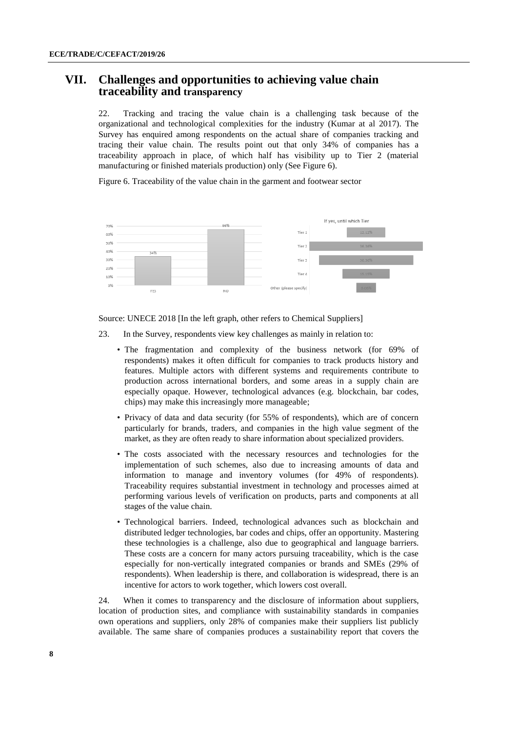### **VII. Challenges and opportunities to achieving value chain traceability and transparency**

22. Tracking and tracing the value chain is a challenging task because of the organizational and technological complexities for the industry (Kumar at al 2017). The Survey has enquired among respondents on the actual share of companies tracking and tracing their value chain. The results point out that only 34% of companies has a traceability approach in place, of which half has visibility up to Tier 2 (material manufacturing or finished materials production) only (See Figure 6).

Figure 6. Traceability of the value chain in the garment and footwear sector



Source: UNECE 2018 [In the left graph, other refers to Chemical Suppliers]

- 23. In the Survey, respondents view key challenges as mainly in relation to:
	- The fragmentation and complexity of the business network (for 69% of respondents) makes it often difficult for companies to track products history and features. Multiple actors with different systems and requirements contribute to production across international borders, and some areas in a supply chain are especially opaque. However, technological advances (e.g. blockchain, bar codes, chips) may make this increasingly more manageable;
	- Privacy of data and data security (for 55% of respondents), which are of concern particularly for brands, traders, and companies in the high value segment of the market, as they are often ready to share information about specialized providers.
	- The costs associated with the necessary resources and technologies for the implementation of such schemes, also due to increasing amounts of data and information to manage and inventory volumes (for 49% of respondents). Traceability requires substantial investment in technology and processes aimed at performing various levels of verification on products, parts and components at all stages of the value chain.
	- Technological barriers. Indeed, technological advances such as blockchain and distributed ledger technologies, bar codes and chips, offer an opportunity. Mastering these technologies is a challenge, also due to geographical and language barriers. These costs are a concern for many actors pursuing traceability, which is the case especially for non-vertically integrated companies or brands and SMEs (29% of respondents). When leadership is there, and collaboration is widespread, there is an incentive for actors to work together, which lowers cost overall.

24. When it comes to transparency and the disclosure of information about suppliers, location of production sites, and compliance with sustainability standards in companies own operations and suppliers, only 28% of companies make their suppliers list publicly available. The same share of companies produces a sustainability report that covers the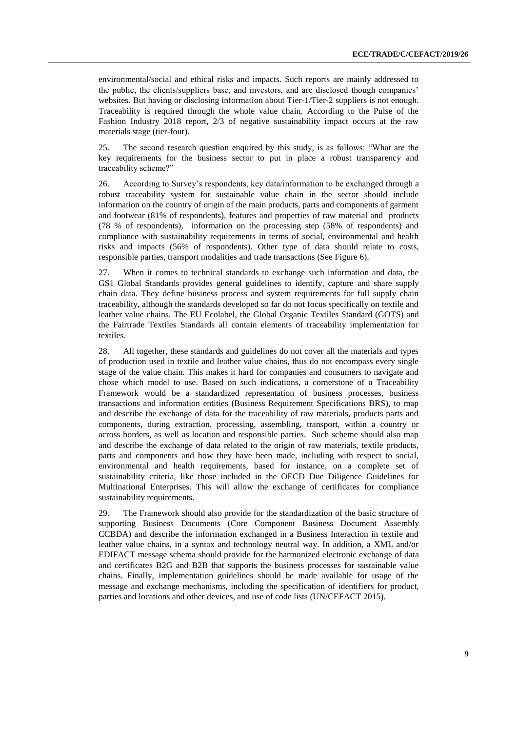environmental/social and ethical risks and impacts. Such reports are mainly addressed to the public, the clients/suppliers base, and investors, and are disclosed though companies' websites. But having or disclosing information about Tier-1/Tier-2 suppliers is not enough. Traceability is required through the whole value chain. According to the Pulse of the Fashion Industry 2018 report, 2/3 of negative sustainability impact occurs at the raw materials stage (tier-four).

25. The second research question enquired by this study, is as follows: "What are the key requirements for the business sector to put in place a robust transparency and traceability scheme?"

26. According to Survey's respondents, key data/information to be exchanged through a robust traceability system for sustainable value chain in the sector should include information on the country of origin of the main products, parts and components of garment and footwear (81% of respondents), features and properties of raw material and products (78 % of respondents), information on the processing step (58% of respondents) and compliance with sustainability requirements in terms of social, environmental and health risks and impacts (56% of respondents). Other type of data should relate to costs, responsible parties, transport modalities and trade transactions (See Figure 6).

27. When it comes to technical standards to exchange such information and data, the GS1 Global Standards provides general guidelines to identify, capture and share supply chain data. They define business process and system requirements for full supply chain traceability, although the standards developed so far do not focus specifically on textile and leather value chains. The EU Ecolabel, the Global Organic Textiles Standard (GOTS) and the Fairtrade Textiles Standards all contain elements of traceability implementation for textiles.

28. All together, these standards and guidelines do not cover all the materials and types of production used in textile and leather value chains, thus do not encompass every single stage of the value chain. This makes it hard for companies and consumers to navigate and chose which model to use. Based on such indications, a cornerstone of a Traceability Framework would be a standardized representation of business processes, business transactions and information entities (Business Requirement Specifications BRS), to map and describe the exchange of data for the traceability of raw materials, products parts and components, during extraction, processing, assembling, transport, within a country or across borders, as well as location and responsible parties. Such scheme should also map and describe the exchange of data related to the origin of raw materials, textile products, parts and components and how they have been made, including with respect to social, environmental and health requirements, based for instance, on a complete set of sustainability criteria, like those included in the OECD Due Diligence Guidelines for Multinational Enterprises. This will allow the exchange of certificates for compliance sustainability requirements.

29. The Framework should also provide for the standardization of the basic structure of supporting Business Documents (Core Component Business Document Assembly CCBDA) and describe the information exchanged in a Business Interaction in textile and leather value chains, in a syntax and technology neutral way. In addition, a XML and/or EDIFACT message schema should provide for the harmonized electronic exchange of data and certificates B2G and B2B that supports the business processes for sustainable value chains. Finally, implementation guidelines should be made available for usage of the message and exchange mechanisms, including the specification of identifiers for product, parties and locations and other devices, and use of code lists (UN/CEFACT 2015).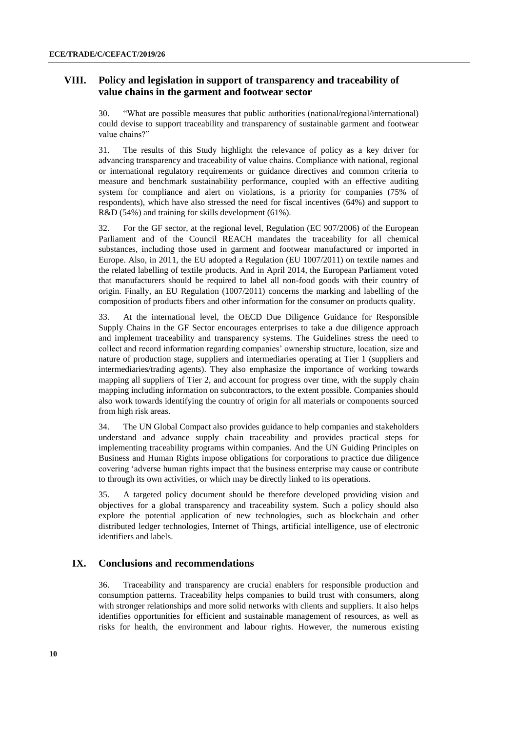#### **VIII. Policy and legislation in support of transparency and traceability of value chains in the garment and footwear sector**

30. "What are possible measures that public authorities (national/regional/international) could devise to support traceability and transparency of sustainable garment and footwear value chains?"

31. The results of this Study highlight the relevance of policy as a key driver for advancing transparency and traceability of value chains. Compliance with national, regional or international regulatory requirements or guidance directives and common criteria to measure and benchmark sustainability performance, coupled with an effective auditing system for compliance and alert on violations, is a priority for companies (75% of respondents), which have also stressed the need for fiscal incentives (64%) and support to R&D (54%) and training for skills development (61%).

32. For the GF sector, at the regional level, Regulation (EC 907/2006) of the European Parliament and of the Council REACH mandates the traceability for all chemical substances, including those used in garment and footwear manufactured or imported in Europe. Also, in 2011, the EU adopted a Regulation (EU 1007/2011) on textile names and the related labelling of textile products. And in April 2014, the European Parliament voted that manufacturers should be required to label all non-food goods with their country of origin. Finally, an EU Regulation (1007/2011) concerns the marking and labelling of the composition of products fibers and other information for the consumer on products quality.

33. At the international level, the OECD Due Diligence Guidance for Responsible Supply Chains in the GF Sector encourages enterprises to take a due diligence approach and implement traceability and transparency systems. The Guidelines stress the need to collect and record information regarding companies' ownership structure, location, size and nature of production stage, suppliers and intermediaries operating at Tier 1 (suppliers and intermediaries/trading agents). They also emphasize the importance of working towards mapping all suppliers of Tier 2, and account for progress over time, with the supply chain mapping including information on subcontractors, to the extent possible. Companies should also work towards identifying the country of origin for all materials or components sourced from high risk areas.

34. The UN Global Compact also provides guidance to help companies and stakeholders understand and advance supply chain traceability and provides practical steps for implementing traceability programs within companies. And the UN Guiding Principles on Business and Human Rights impose obligations for corporations to practice due diligence covering 'adverse human rights impact that the business enterprise may cause or contribute to through its own activities, or which may be directly linked to its operations.

35. A targeted policy document should be therefore developed providing vision and objectives for a global transparency and traceability system. Such a policy should also explore the potential application of new technologies, such as blockchain and other distributed ledger technologies, Internet of Things, artificial intelligence, use of electronic identifiers and labels.

#### **IX. Conclusions and recommendations**

36. Traceability and transparency are crucial enablers for responsible production and consumption patterns. Traceability helps companies to build trust with consumers, along with stronger relationships and more solid networks with clients and suppliers. It also helps identifies opportunities for efficient and sustainable management of resources, as well as risks for health, the environment and labour rights. However, the numerous existing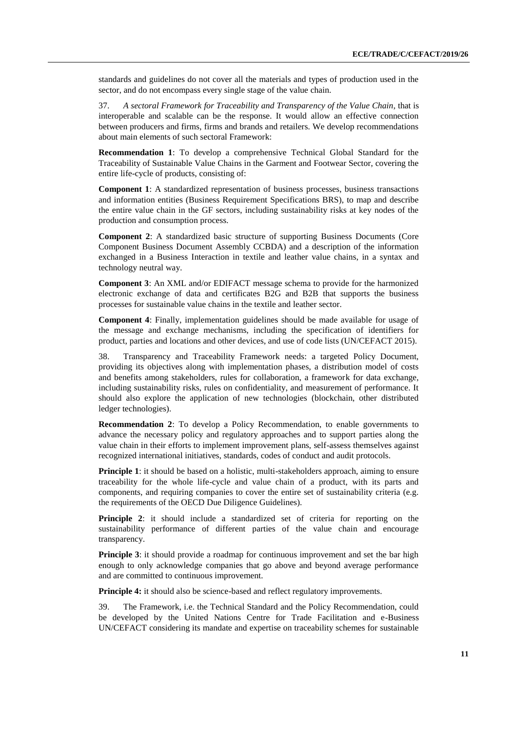standards and guidelines do not cover all the materials and types of production used in the sector, and do not encompass every single stage of the value chain.

37. *A sectoral Framework for Traceability and Transparency of the Value Chain*, that is interoperable and scalable can be the response. It would allow an effective connection between producers and firms, firms and brands and retailers. We develop recommendations about main elements of such sectoral Framework:

**Recommendation 1**: To develop a comprehensive Technical Global Standard for the Traceability of Sustainable Value Chains in the Garment and Footwear Sector, covering the entire life-cycle of products, consisting of:

**Component 1**: A standardized representation of business processes, business transactions and information entities (Business Requirement Specifications BRS), to map and describe the entire value chain in the GF sectors, including sustainability risks at key nodes of the production and consumption process.

**Component 2**: A standardized basic structure of supporting Business Documents (Core Component Business Document Assembly CCBDA) and a description of the information exchanged in a Business Interaction in textile and leather value chains, in a syntax and technology neutral way.

**Component 3**: An XML and/or EDIFACT message schema to provide for the harmonized electronic exchange of data and certificates B2G and B2B that supports the business processes for sustainable value chains in the textile and leather sector.

**Component 4**: Finally, implementation guidelines should be made available for usage of the message and exchange mechanisms, including the specification of identifiers for product, parties and locations and other devices, and use of code lists (UN/CEFACT 2015).

38. Transparency and Traceability Framework needs: a targeted Policy Document, providing its objectives along with implementation phases, a distribution model of costs and benefits among stakeholders, rules for collaboration, a framework for data exchange, including sustainability risks, rules on confidentiality, and measurement of performance. It should also explore the application of new technologies (blockchain, other distributed ledger technologies).

**Recommendation 2**: To develop a Policy Recommendation, to enable governments to advance the necessary policy and regulatory approaches and to support parties along the value chain in their efforts to implement improvement plans, self-assess themselves against recognized international initiatives, standards, codes of conduct and audit protocols.

**Principle 1**: it should be based on a holistic, multi-stakeholders approach, aiming to ensure traceability for the whole life-cycle and value chain of a product, with its parts and components, and requiring companies to cover the entire set of sustainability criteria (e.g. the requirements of the OECD Due Diligence Guidelines).

**Principle 2**: it should include a standardized set of criteria for reporting on the sustainability performance of different parties of the value chain and encourage transparency.

**Principle 3**: it should provide a roadmap for continuous improvement and set the bar high enough to only acknowledge companies that go above and beyond average performance and are committed to continuous improvement.

**Principle 4:** it should also be science-based and reflect regulatory improvements.

39. The Framework, i.e. the Technical Standard and the Policy Recommendation, could be developed by the United Nations Centre for Trade Facilitation and e-Business UN/CEFACT considering its mandate and expertise on traceability schemes for sustainable